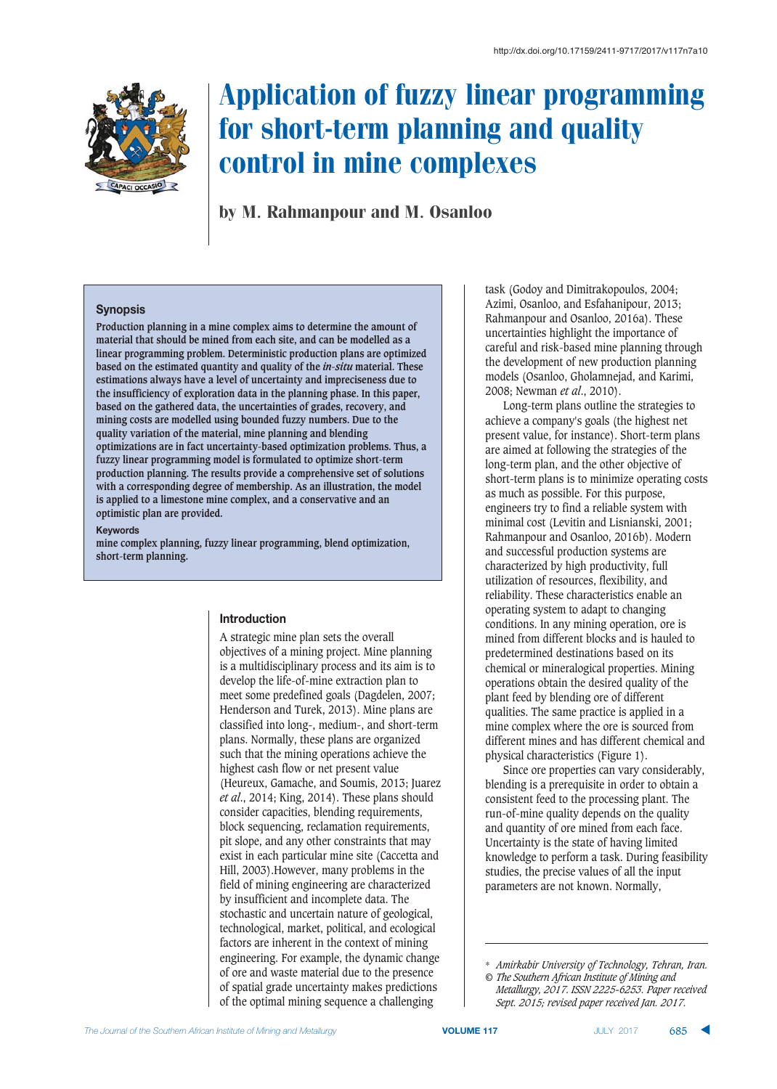

# Application of fuzzy linear programming for short-term planning and quality control in mine complexes

by M. Rahmanpour and M. Osanloo

### **Synopsis**

**Production planning in a mine complex aims to determine the amount of material that should be mined from each site, and can be modelled as a linear programming problem. Deterministic production plans are optimized based on the estimated quantity and quality of the** *in-situ* **material. These estimations always have a level of uncertainty and impreciseness due to the insufficiency of exploration data in the planning phase. In this paper, based on the gathered data, the uncertainties of grades, recovery, and mining costs are modelled using bounded fuzzy numbers. Due to the quality variation of the material, mine planning and blending optimizations are in fact uncertainty-based optimization problems. Thus, a fuzzy linear programming model is formulated to optimize short-term production planning. The results provide a comprehensive set of solutions with a corresponding degree of membership. As an illustration, the model is applied to a limestone mine complex, and a conservative and an optimistic plan are provided.** 

#### **Keywords**

**mine complex planning, fuzzy linear programming, blend optimization, short-term planning.**

### $Introduction$

A strategic mine plan sets the overall objectives of a mining project. Mine planning is a multidisciplinary process and its aim is to develop the life-of-mine extraction plan to meet some predefined goals (Dagdelen, 2007; Henderson and Turek, 2013). Mine plans are classified into long-, medium-, and short-term plans. Normally, these plans are organized such that the mining operations achieve the highest cash flow or net present value (Heureux, Gamache, and Soumis, 2013; Juarez *et al*., 2014; King, 2014). These plans should consider capacities, blending requirements, block sequencing, reclamation requirements, pit slope, and any other constraints that may exist in each particular mine site (Caccetta and Hill, 2003).However, many problems in the field of mining engineering are characterized by insufficient and incomplete data. The stochastic and uncertain nature of geological, technological, market, political, and ecological factors are inherent in the context of mining engineering. For example, the dynamic change of ore and waste material due to the presence of spatial grade uncertainty makes predictions of the optimal mining sequence a challenging

task (Godoy and Dimitrakopoulos, 2004; Azimi, Osanloo, and Esfahanipour, 2013; Rahmanpour and Osanloo, 2016a). These uncertainties highlight the importance of careful and risk-based mine planning through the development of new production planning models (Osanloo, Gholamnejad, and Karimi, 2008; Newman *et al*., 2010).

Long-term plans outline the strategies to achieve a company's goals (the highest net present value, for instance). Short-term plans are aimed at following the strategies of the long-term plan, and the other objective of short-term plans is to minimize operating costs as much as possible. For this purpose, engineers try to find a reliable system with minimal cost (Levitin and Lisnianski, 2001; Rahmanpour and Osanloo, 2016b). Modern and successful production systems are characterized by high productivity, full utilization of resources, flexibility, and reliability. These characteristics enable an operating system to adapt to changing conditions. In any mining operation, ore is mined from different blocks and is hauled to predetermined destinations based on its chemical or mineralogical properties. Mining operations obtain the desired quality of the plant feed by blending ore of different qualities. The same practice is applied in a mine complex where the ore is sourced from different mines and has different chemical and physical characteristics (Figure 1).

Since ore properties can vary considerably, blending is a prerequisite in order to obtain a consistent feed to the processing plant. The run-of-mine quality depends on the quality and quantity of ore mined from each face. Uncertainty is the state of having limited knowledge to perform a task. During feasibility studies, the precise values of all the input parameters are not known. Normally,

\* *Amirkabir University of Technology, Tehran, Iran. © The Southern African Institute of Mining and*

*Metallurgy, 2017. ISSN 2225-6253. Paper received Sept. 2015; revised paper received Jan. 2017.*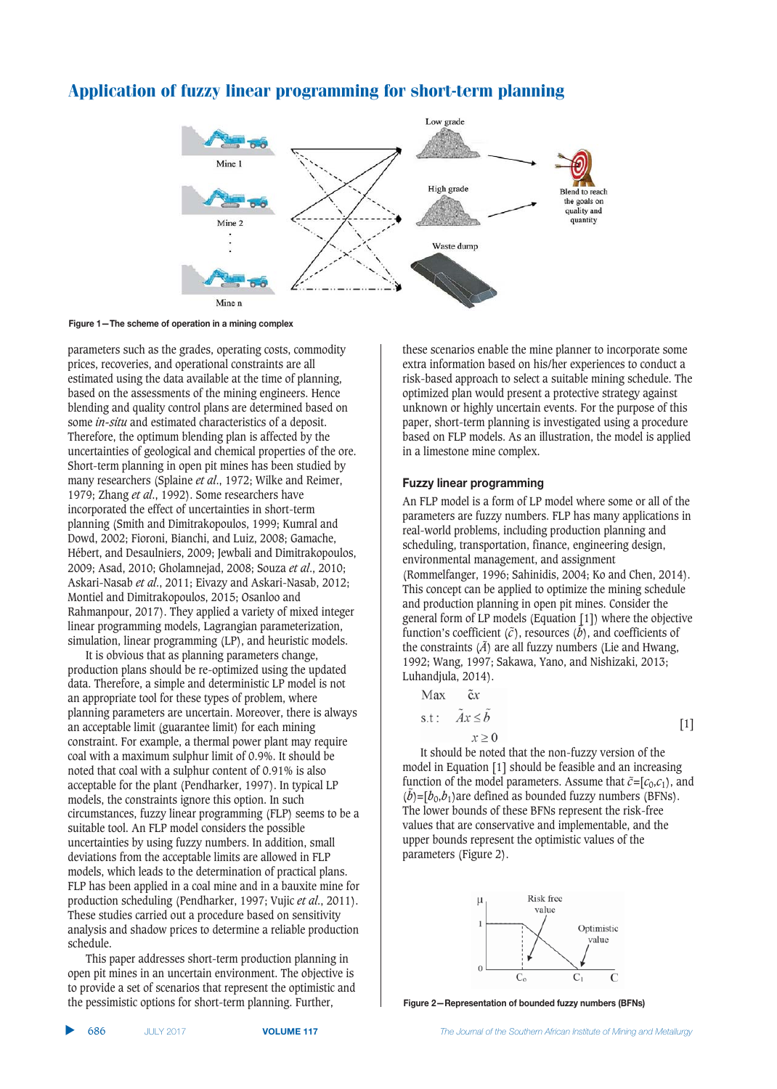

Figure 1-The scheme of operation in a mining complex

parameters such as the grades, operating costs, commodity prices, recoveries, and operational constraints are all estimated using the data available at the time of planning, based on the assessments of the mining engineers. Hence blending and quality control plans are determined based on some *in-situ* and estimated characteristics of a deposit. Therefore, the optimum blending plan is affected by the uncertainties of geological and chemical properties of the ore. Short-term planning in open pit mines has been studied by many researchers (Splaine *et al*., 1972; Wilke and Reimer, 1979; Zhang *et al*., 1992). Some researchers have incorporated the effect of uncertainties in short-term planning (Smith and Dimitrakopoulos, 1999; Kumral and Dowd, 2002; Fioroni, Bianchi, and Luiz, 2008; Gamache, Hébert, and Desaulniers, 2009; Jewbali and Dimitrakopoulos, 2009; Asad, 2010; Gholamnejad, 2008; Souza *et al*., 2010; Askari-Nasab *et al*., 2011; Eivazy and Askari-Nasab, 2012; Montiel and Dimitrakopoulos, 2015; Osanloo and Rahmanpour, 2017). They applied a variety of mixed integer linear programming models, Lagrangian parameterization, simulation, linear programming (LP), and heuristic models.

It is obvious that as planning parameters change, production plans should be re-optimized using the updated data. Therefore, a simple and deterministic LP model is not an appropriate tool for these types of problem, where planning parameters are uncertain. Moreover, there is always an acceptable limit (guarantee limit) for each mining constraint. For example, a thermal power plant may require coal with a maximum sulphur limit of 0.9%. It should be noted that coal with a sulphur content of 0.91% is also acceptable for the plant (Pendharker, 1997). In typical LP models, the constraints ignore this option. In such circumstances, fuzzy linear programming (FLP) seems to be a suitable tool. An FLP model considers the possible uncertainties by using fuzzy numbers. In addition, small deviations from the acceptable limits are allowed in FLP models, which leads to the determination of practical plans. FLP has been applied in a coal mine and in a bauxite mine for production scheduling (Pendharker, 1997; Vujic *et al*., 2011). These studies carried out a procedure based on sensitivity analysis and shadow prices to determine a reliable production schedule.

This paper addresses short-term production planning in open pit mines in an uncertain environment. The objective is to provide a set of scenarios that represent the optimistic and the pessimistic options for short-term planning. Further,

these scenarios enable the mine planner to incorporate some extra information based on his/her experiences to conduct a risk-based approach to select a suitable mining schedule. The optimized plan would present a protective strategy against unknown or highly uncertain events. For the purpose of this paper, short-term planning is investigated using a procedure based on FLP models. As an illustration, the model is applied in a limestone mine complex.

#### **Fuzzy linear programming**

An FLP model is a form of LP model where some or all of the parameters are fuzzy numbers. FLP has many applications in real-world problems, including production planning and scheduling, transportation, finance, engineering design, environmental management, and assignment (Rommelfanger, 1996; Sahinidis, 2004; Ko and Chen, 2014). This concept can be applied to optimize the mining schedule and production planning in open pit mines. Consider the general form of LP models (Equation [1]) where the objective function's coefficient  $(\tilde{c})$ , resources  $(\tilde{b})$ , and coefficients of the constraints  $(\tilde{A})$  are all fuzzy numbers (Lie and Hwang, 1992; Wang, 1997; Sakawa, Yano, and Nishizaki, 2013; Luhandjula, 2014).

Max  $\tilde{c}x$ 

$$
\text{s.t:} \quad \tilde{A}x \le \tilde{b} \tag{1}
$$
\n
$$
x > 0
$$

It should be noted that the non-fuzzy version of the model in Equation [1] should be feasible and an increasing function of the model parameters. Assume that  $\tilde{c} = [c_0, c_1)$ , and  $(b) = [b_0, b_1]$  are defined as bounded fuzzy numbers (BFNs). The lower bounds of these BFNs represent the risk-free values that are conservative and implementable, and the upper bounds represent the optimistic values of the parameters (Figure 2).



**Figure 2–Representation of bounded fuzzy numbers (BFNs)**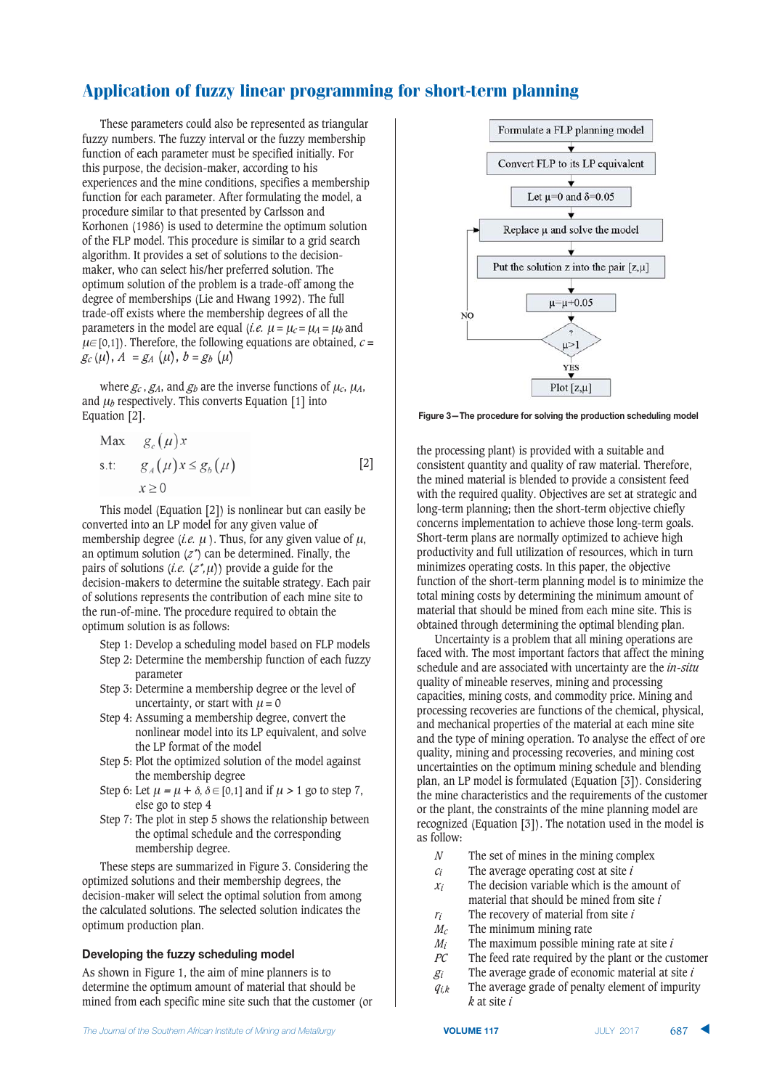These parameters could also be represented as triangular fuzzy numbers. The fuzzy interval or the fuzzy membership function of each parameter must be specified initially. For this purpose, the decision-maker, according to his experiences and the mine conditions, specifies a membership function for each parameter. After formulating the model, a procedure similar to that presented by Carlsson and Korhonen (1986) is used to determine the optimum solution of the FLP model. This procedure is similar to a grid search algorithm. It provides a set of solutions to the decisionmaker, who can select his/her preferred solution. The optimum solution of the problem is a trade-off among the degree of memberships (Lie and Hwang 1992). The full trade-off exists where the membership degrees of all the parameters in the model are equal (*i.e.*  $\mu = \mu_c = \mu_A = \mu_b$  and  $\mu \in [0,1]$ . Therefore, the following equations are obtained,  $c =$  $g_c(\mu)$ ,  $A = g_A(\mu)$ ,  $b = g_b(\mu)$ 

where  $g_c$ ,  $g_A$ , and  $g_b$  are the inverse functions of  $\mu_c$ ,  $\mu_A$ , and  $\mu_b$  respectively. This converts Equation [1] into Equation [2].

Max 
$$
g_c(\mu)x
$$
  
s.t:  $g_A(\mu)x \le g_b(\mu)$  [2]  
 $x \ge 0$ 

This model (Equation [2]) is nonlinear but can easily be converted into an LP model for any given value of membership degree (*i.e.*  $\mu$ ). Thus, for any given value of  $\mu$ , an optimum solution (*z\**) can be determined. Finally, the pairs of solutions (*i.e.*  $(z^*, \mu)$ ) provide a guide for the decision-makers to determine the suitable strategy. Each pair of solutions represents the contribution of each mine site to the run-of-mine. The procedure required to obtain the optimum solution is as follows:

- Step 1: Develop a scheduling model based on FLP models
- Step 2: Determine the membership function of each fuzzy parameter
- Step 3: Determine a membership degree or the level of uncertainty, or start with  $\mu = 0$
- Step 4: Assuming a membership degree, convert the nonlinear model into its LP equivalent, and solve the LP format of the model
- Step 5: Plot the optimized solution of the model against the membership degree
- Step 6: Let  $\mu = \mu + \delta$ ,  $\delta \in [0,1]$  and if  $\mu > 1$  go to step 7, else go to step 4
- Step 7: The plot in step 5 shows the relationship between the optimal schedule and the corresponding membership degree.

These steps are summarized in Figure 3. Considering the optimized solutions and their membership degrees, the decision-maker will select the optimal solution from among the calculated solutions. The selected solution indicates the optimum production plan.

#### **Developing the fuzzy scheduling model**

As shown in Figure 1, the aim of mine planners is to determine the optimum amount of material that should be mined from each specific mine site such that the customer (or



Figure 3-The procedure for solving the production scheduling model

the processing plant) is provided with a suitable and consistent quantity and quality of raw material. Therefore, the mined material is blended to provide a consistent feed with the required quality. Objectives are set at strategic and long-term planning; then the short-term objective chiefly concerns implementation to achieve those long-term goals. Short-term plans are normally optimized to achieve high productivity and full utilization of resources, which in turn minimizes operating costs. In this paper, the objective function of the short-term planning model is to minimize the total mining costs by determining the minimum amount of material that should be mined from each mine site. This is obtained through determining the optimal blending plan.

Uncertainty is a problem that all mining operations are faced with. The most important factors that affect the mining schedule and are associated with uncertainty are the *in-situ* quality of mineable reserves, mining and processing capacities, mining costs, and commodity price. Mining and processing recoveries are functions of the chemical, physical, and mechanical properties of the material at each mine site and the type of mining operation. To analyse the effect of ore quality, mining and processing recoveries, and mining cost uncertainties on the optimum mining schedule and blending plan, an LP model is formulated (Equation [3]). Considering the mine characteristics and the requirements of the customer or the plant, the constraints of the mine planning model are recognized (Equation [3]). The notation used in the model is as follow:

- *N* The set of mines in the mining complex
- *ci* The average operating cost at site *i*
- $x_i$  The decision variable which is the amount of material that should be mined from site *i*
- *ri* The recovery of material from site *i*
- *Mc* The minimum mining rate
- $M_i$  The maximum possible mining rate at site *i*
- *PC* The feed rate required by the plant or the customer
- *gi* The average grade of economic material at site *i*
- *qi,k* The average grade of penalty element of impurity *k* at site *i*

 **VOLUME 117**  -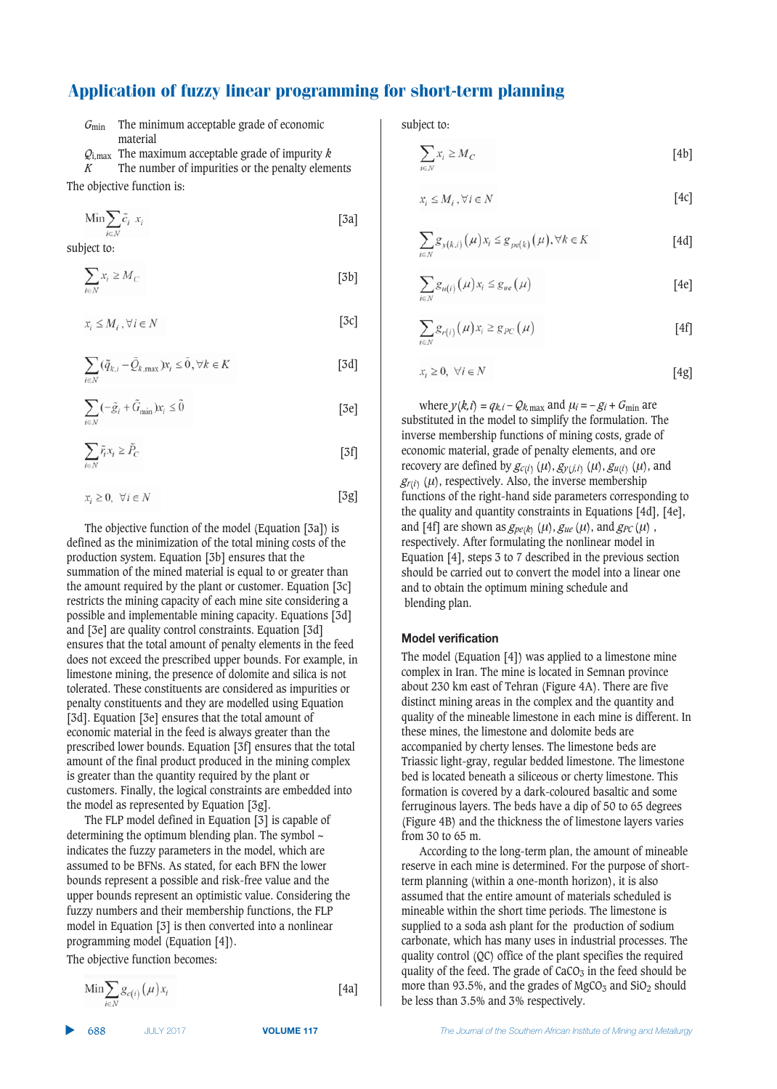*G*min The minimum acceptable grade of economic material

$$
Q_{i,max}
$$
 The maximum acceptable grade of impurity  $k$ 

*K* The number of impurities or the penalty elements The objective function is:

$$
\operatorname{Min} \sum_{i \in N} \tilde{c}_i \ x_i \tag{3a}
$$

subject to:

$$
\sum_{i \in N} x_i \ge M_C \tag{3b}
$$

[3c]  $x_i \leq M_i$ ,  $\forall i \in N$ 

$$
\sum_{i \in N} (\tilde{q}_{k,i} - \tilde{Q}_{k,\max}) x_i \le \tilde{0}, \forall k \in K
$$
 [3d]

$$
\sum_{i \in N} (-\tilde{g}_i + \tilde{G}_{\min}) x_i \le \tilde{0}
$$
 [3e]

$$
\sum_{i \in N} \tilde{r}_i x_i \ge \tilde{P}_C \tag{3f}
$$

$$
x_i \ge 0, \ \forall i \in N \tag{3g}
$$

The objective function of the model (Equation [3a]) is defined as the minimization of the total mining costs of the production system. Equation [3b] ensures that the summation of the mined material is equal to or greater than the amount required by the plant or customer. Equation [3c] restricts the mining capacity of each mine site considering a possible and implementable mining capacity. Equations [3d] and [3e] are quality control constraints. Equation [3d] ensures that the total amount of penalty elements in the feed does not exceed the prescribed upper bounds. For example, in limestone mining, the presence of dolomite and silica is not tolerated. These constituents are considered as impurities or penalty constituents and they are modelled using Equation [3d]. Equation [3e] ensures that the total amount of economic material in the feed is always greater than the prescribed lower bounds. Equation [3f] ensures that the total amount of the final product produced in the mining complex is greater than the quantity required by the plant or customers. Finally, the logical constraints are embedded into the model as represented by Equation [3g].

The FLP model defined in Equation [3] is capable of determining the optimum blending plan. The symbol  $\sim$ indicates the fuzzy parameters in the model, which are assumed to be BFNs. As stated, for each BFN the lower bounds represent a possible and risk-free value and the upper bounds represent an optimistic value. Considering the fuzzy numbers and their membership functions, the FLP model in Equation [3] is then converted into a nonlinear programming model (Equation [4]).

The objective function becomes:

$$
\operatorname{Min} \sum_{i \in N} g_{c(i)}(\mu) x_i \tag{4a}
$$

$$
\bullet \quad 688 \qquad \text{JULY 2017}
$$

▲

subject to:

 $\overline{\lambda}$ 

$$
\sum_{i \in N} x_i \ge M_C \tag{4b}
$$

$$
i \leq M_i, \forall i \in N \tag{4c}
$$

$$
\sum_{i \in N} g_{y(k,i)}(\mu) x_i \le g_{pe(k)}(\mu), \forall k \in K
$$
 [4d]

$$
\sum_{i \in N} g_{u(i)}(\mu) x_i \le g_{ue}(\mu) \tag{4e}
$$

$$
\sum_{i \in N} g_{r(i)}(\mu) x_i \ge g_{PC}(\mu)
$$
 [4f]

$$
x_i \ge 0, \ \forall i \in N \tag{4g}
$$

where  $y(k, i) = q_{k,i} - Q_{k,\text{max}}$  and  $\mu_i = -g_i + G_{\text{min}}$  are substituted in the model to simplify the formulation. The inverse membership functions of mining costs, grade of economic material, grade of penalty elements, and ore recovery are defined by  $g_{c(i)}(\mu), g_{\gamma(i)}(\mu), g_{u(i)}(\mu)$ , and  $g_{r(i)}(\mu)$ , respectively. Also, the inverse membership functions of the right-hand side parameters corresponding to the quality and quantity constraints in Equations [4d], [4e], and [4f] are shown as  $g_{pe(k)}(\mu)$ ,  $g_{ue}(\mu)$ , and  $g_{pc}(\mu)$ , respectively. After formulating the nonlinear model in Equation [4], steps 3 to 7 described in the previous section should be carried out to convert the model into a linear one and to obtain the optimum mining schedule and blending plan.

#### **Model verification**

The model (Equation [4]) was applied to a limestone mine complex in Iran. The mine is located in Semnan province about 230 km east of Tehran (Figure 4A). There are five distinct mining areas in the complex and the quantity and quality of the mineable limestone in each mine is different. In these mines, the limestone and dolomite beds are accompanied by cherty lenses. The limestone beds are Triassic light-gray, regular bedded limestone. The limestone bed is located beneath a siliceous or cherty limestone. This formation is covered by a dark-coloured basaltic and some ferruginous layers. The beds have a dip of 50 to 65 degrees (Figure 4B) and the thickness the of limestone layers varies from 30 to 65 m.

According to the long-term plan, the amount of mineable reserve in each mine is determined. For the purpose of shortterm planning (within a one-month horizon), it is also assumed that the entire amount of materials scheduled is mineable within the short time periods. The limestone is supplied to a soda ash plant for the production of sodium carbonate, which has many uses in industrial processes. The quality control (QC) office of the plant specifies the required quality of the feed. The grade of  $CaCO<sub>3</sub>$  in the feed should be more than 93.5%, and the grades of  $MgCO<sub>3</sub>$  and SiO<sub>2</sub> should be less than 3.5% and 3% respectively.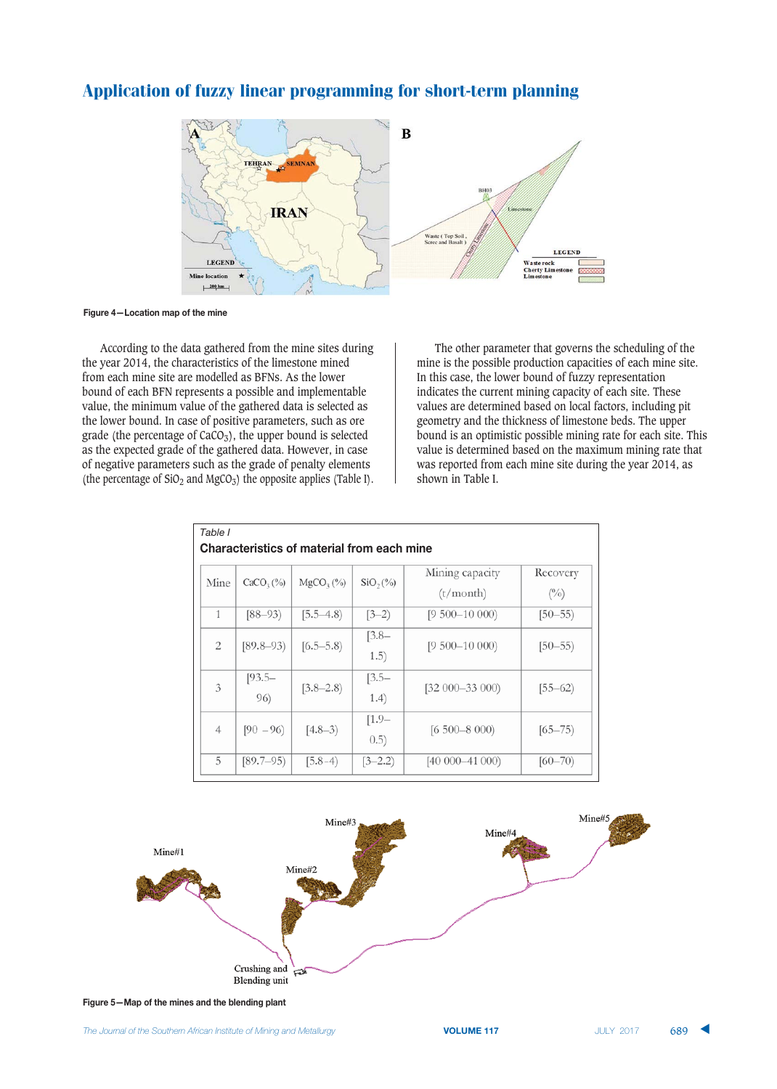

#### **Figure 4—Location map of the mine**

According to the data gathered from the mine sites during the year 2014, the characteristics of the limestone mined from each mine site are modelled as BFNs. As the lower bound of each BFN represents a possible and implementable value, the minimum value of the gathered data is selected as the lower bound. In case of positive parameters, such as ore grade (the percentage of  $CaCO<sub>3</sub>$ ), the upper bound is selected as the expected grade of the gathered data. However, in case of negative parameters such as the grade of penalty elements (the percentage of  $SiO<sub>2</sub>$  and MgCO<sub>3</sub>) the opposite applies (Table I).

The other parameter that governs the scheduling of the mine is the possible production capacities of each mine site. In this case, the lower bound of fuzzy representation indicates the current mining capacity of each site. These values are determined based on local factors, including pit geometry and the thickness of limestone beds. The upper bound is an optimistic possible mining rate for each site. This value is determined based on the maximum mining rate that was reported from each mine site during the year 2014, as shown in Table I.

| Table I        | <b>Characteristics of material from each mine</b> |                       |                  |                              |                          |  |  |  |  |  |  |
|----------------|---------------------------------------------------|-----------------------|------------------|------------------------------|--------------------------|--|--|--|--|--|--|
| Mine           | $CaCO3(\%)$                                       | MgCO <sub>3</sub> (%) | $SiO2(\%)$       | Mining capacity<br>(t/month) | Recovery<br>$(^{0}_{0})$ |  |  |  |  |  |  |
| 1              | $[88-93]$                                         | $[5.5 - 4.8]$         | $[3-2)$          | $[9 500 - 10 000]$           | $[50 - 55]$              |  |  |  |  |  |  |
| $\overline{2}$ | $[89.8 - 93]$                                     | $[6.5 - 5.8]$         | $[3.8-]$<br>1.5) | $[9 500 - 10 000]$           | $[50 - 55]$              |  |  |  |  |  |  |
| 3              | $[93.5 -$<br>96)                                  | $[3.8 - 2.8]$         | $[3.5-$<br>1.4)  | $[32 000 - 33 000]$          | $[55-62]$                |  |  |  |  |  |  |
| $\overline{4}$ | $[90 - 96]$                                       | $[4.8-3]$             | $[1.9-$<br>(0.5) | $[6 500 - 8 000]$            | $[65 - 75]$              |  |  |  |  |  |  |
| 5              | $[89.7-95]$                                       | $[5.8-4]$             | $[3 - 2.2)$      | $[40 000 - 41 000]$          | $[60 - 70)$              |  |  |  |  |  |  |

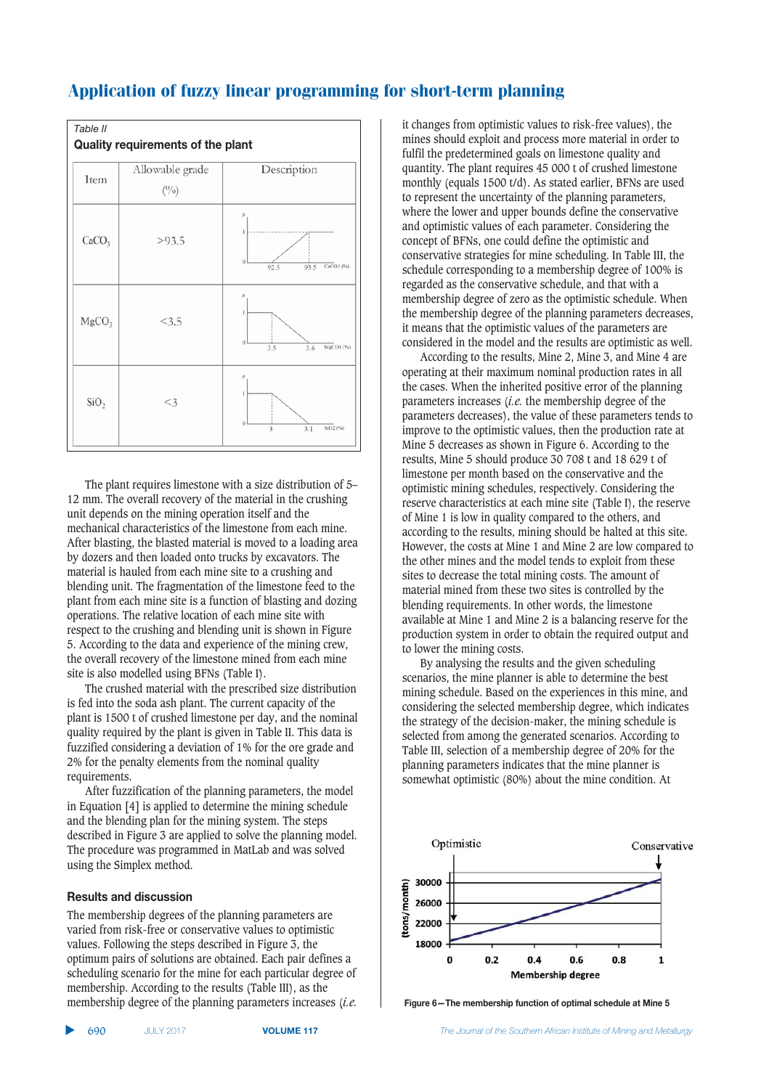



The plant requires limestone with a size distribution of 5– 12 mm. The overall recovery of the material in the crushing unit depends on the mining operation itself and the mechanical characteristics of the limestone from each mine. After blasting, the blasted material is moved to a loading area by dozers and then loaded onto trucks by excavators. The material is hauled from each mine site to a crushing and blending unit. The fragmentation of the limestone feed to the plant from each mine site is a function of blasting and dozing operations. The relative location of each mine site with respect to the crushing and blending unit is shown in Figure 5. According to the data and experience of the mining crew, the overall recovery of the limestone mined from each mine site is also modelled using BFNs (Table I).

The crushed material with the prescribed size distribution is fed into the soda ash plant. The current capacity of the plant is 1500 t of crushed limestone per day, and the nominal quality required by the plant is given in Table II. This data is fuzzified considering a deviation of 1% for the ore grade and 2% for the penalty elements from the nominal quality requirements.

After fuzzification of the planning parameters, the model in Equation [4] is applied to determine the mining schedule and the blending plan for the mining system. The steps described in Figure 3 are applied to solve the planning model. The procedure was programmed in MatLab and was solved using the Simplex method.

#### **Results and discussion**

The membership degrees of the planning parameters are varied from risk-free or conservative values to optimistic values. Following the steps described in Figure 3, the optimum pairs of solutions are obtained. Each pair defines a scheduling scenario for the mine for each particular degree of membership. According to the results (Table III), as the membership degree of the planning parameters increases (*i.e.*

it changes from optimistic values to risk-free values), the mines should exploit and process more material in order to fulfil the predetermined goals on limestone quality and quantity. The plant requires 45 000 t of crushed limestone monthly (equals 1500 t/d). As stated earlier, BFNs are used to represent the uncertainty of the planning parameters, where the lower and upper bounds define the conservative and optimistic values of each parameter. Considering the concept of BFNs, one could define the optimistic and conservative strategies for mine scheduling. In Table III, the schedule corresponding to a membership degree of 100% is regarded as the conservative schedule, and that with a membership degree of zero as the optimistic schedule. When the membership degree of the planning parameters decreases, it means that the optimistic values of the parameters are considered in the model and the results are optimistic as well.

According to the results, Mine 2, Mine 3, and Mine 4 are operating at their maximum nominal production rates in all the cases. When the inherited positive error of the planning parameters increases (*i.e.* the membership degree of the parameters decreases), the value of these parameters tends to improve to the optimistic values, then the production rate at Mine 5 decreases as shown in Figure 6. According to the results, Mine 5 should produce 30 708 t and 18 629 t of limestone per month based on the conservative and the optimistic mining schedules, respectively. Considering the reserve characteristics at each mine site (Table I), the reserve of Mine 1 is low in quality compared to the others, and according to the results, mining should be halted at this site. However, the costs at Mine 1 and Mine 2 are low compared to the other mines and the model tends to exploit from these sites to decrease the total mining costs. The amount of material mined from these two sites is controlled by the blending requirements. In other words, the limestone available at Mine 1 and Mine 2 is a balancing reserve for the production system in order to obtain the required output and to lower the mining costs.

By analysing the results and the given scheduling scenarios, the mine planner is able to determine the best mining schedule. Based on the experiences in this mine, and considering the selected membership degree, which indicates the strategy of the decision-maker, the mining schedule is selected from among the generated scenarios. According to Table III, selection of a membership degree of 20% for the planning parameters indicates that the mine planner is somewhat optimistic (80%) about the mine condition. At



Figure 6-The membership function of optimal schedule at Mine 5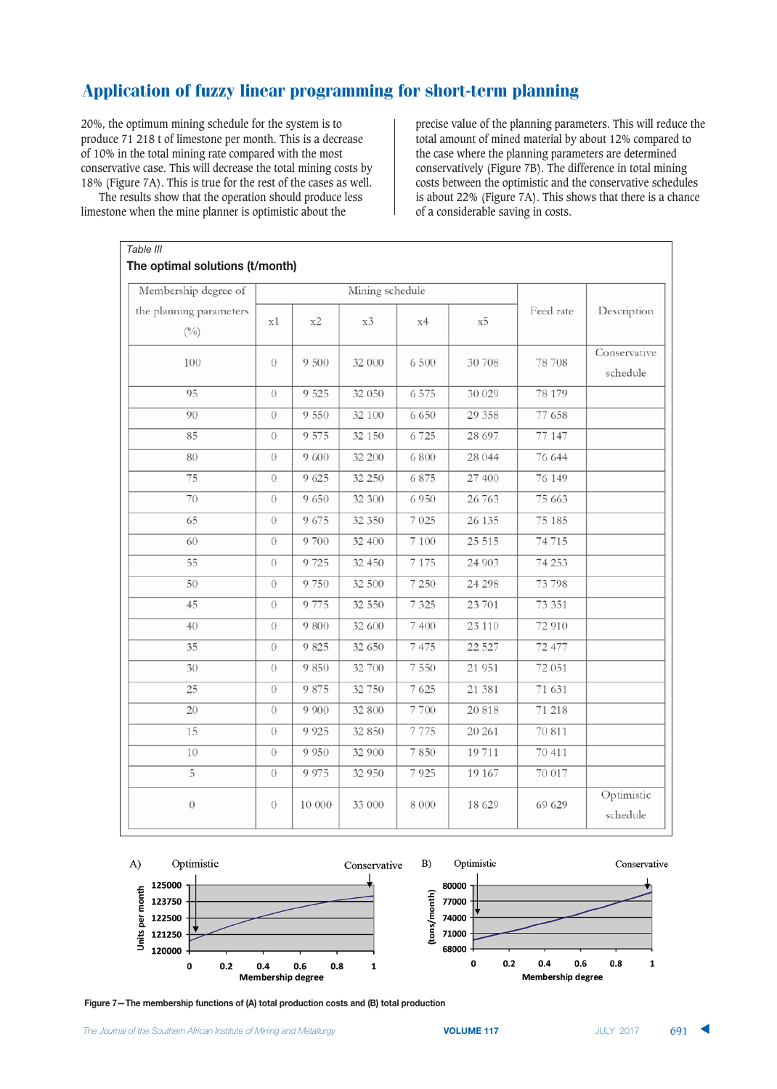20%, the optimum mining schedule for the system is to produce 71 218 t of limestone per month. This is a decrease of 10% in the total mining rate compared with the most conservative case. This will decrease the total mining costs by 18% (Figure 7A). This is true for the rest of the cases as well.

The results show that the operation should produce less limestone when the mine planner is optimistic about the

precise value of the planning parameters. This will reduce the total amount of mined material by about 12% compared to the case where the planning parameters are determined conservatively (Figure 7B). The difference in total mining costs between the optimistic and the conservative schedules is about 22% (Figure 7A). This shows that there is a chance of a considerable saving in costs.

| Membership degree of                    |                  |         | Mining schedule |         |         |           |                          |
|-----------------------------------------|------------------|---------|-----------------|---------|---------|-----------|--------------------------|
| the planning parameters<br>$(^{0}_{0})$ | x1               | x2      | x3              | x4      | x5      | Feed rate | Description              |
| 100                                     | $\theta$         | 9 500   | 32 000          | 6 500   | 30 708  | 78 708    | Conservative<br>schedule |
| 95                                      | $\theta$         | 9 5 25  | 32 050          | 6 5 7 5 | 30 029  | 78 179    |                          |
| 90                                      | $\theta$         | 9 5 5 0 | 32 100          | 6 650   | 29 358  | 77 658    |                          |
| 85                                      | $\theta$         | 9 5 7 5 | 32 150          | 6725    | 28 697  | 77 147    |                          |
| 80                                      | $\theta$         | 9 600   | 32 200          | 6 800   | 28 044  | 76 644    |                          |
| 75                                      | $\theta$         | 9 6 25  | 32 250          | 6875    | 27 400  | 76 149    |                          |
| 70                                      | $\theta$         | 9 650   | 32 300          | 6 9 5 0 | 26 763  | 75 663    |                          |
| 65                                      | $\theta$         | 9675    | 32 350          | 7 0 25  | 26 135  | 75 185    |                          |
| 60                                      | $\theta$         | 9700    | 32 400          | 7 100   | 25 515  | 74 715    |                          |
| 55                                      | $\theta$         | 9725    | 32 450          | 7 1 7 5 | 24 903  | 74 253    |                          |
| 50                                      | $\theta$         | 9 7 5 0 | 32 500          | 7 250   | 24 298  | 73 798    |                          |
| 45                                      | $\theta$         | 9 7 7 5 | 32 550          | 7 3 2 5 | 23 701  | 73 351    |                          |
| 40                                      | $\theta$         | 9 800   | 32 600          | 7 400   | 23 110  | 72 910    |                          |
| 35                                      | $\theta$         | 9 8 25  | 32 650          | 7475    | 22 5 27 | 72 477    |                          |
| 30                                      | $\theta$         | 9850    | 32 700          | 7 550   | 21 951  | 72 051    |                          |
| 25                                      | $\theta$         | 9875    | 32 750          | 7 6 25  | 21 381  | 71 631    |                          |
| 20                                      | $\theta$         | 9 9 0 0 | 32 800          | 7 700   | 20 818  | 71 218    |                          |
| 15                                      | $\boldsymbol{0}$ | 9 9 25  | 32 850          | 7775    | 20 26 1 | 70 811    |                          |
| 10                                      | $\theta$         | 9 9 5 0 | 32 900          | 7850    | 19711   | 70 411    |                          |
| $\overline{5}$                          | $\theta$         | 9 9 7 5 | 32 950          | 7925    | 19 167  | 70 017    |                          |
| $\boldsymbol{0}$                        | $\theta$         | 10 000  | 33 000          | 8 0 0 0 | 18 629  | 69 629    | Optimistic<br>schedule   |



Figure 7-The membership functions of (A) total production costs and (B) total production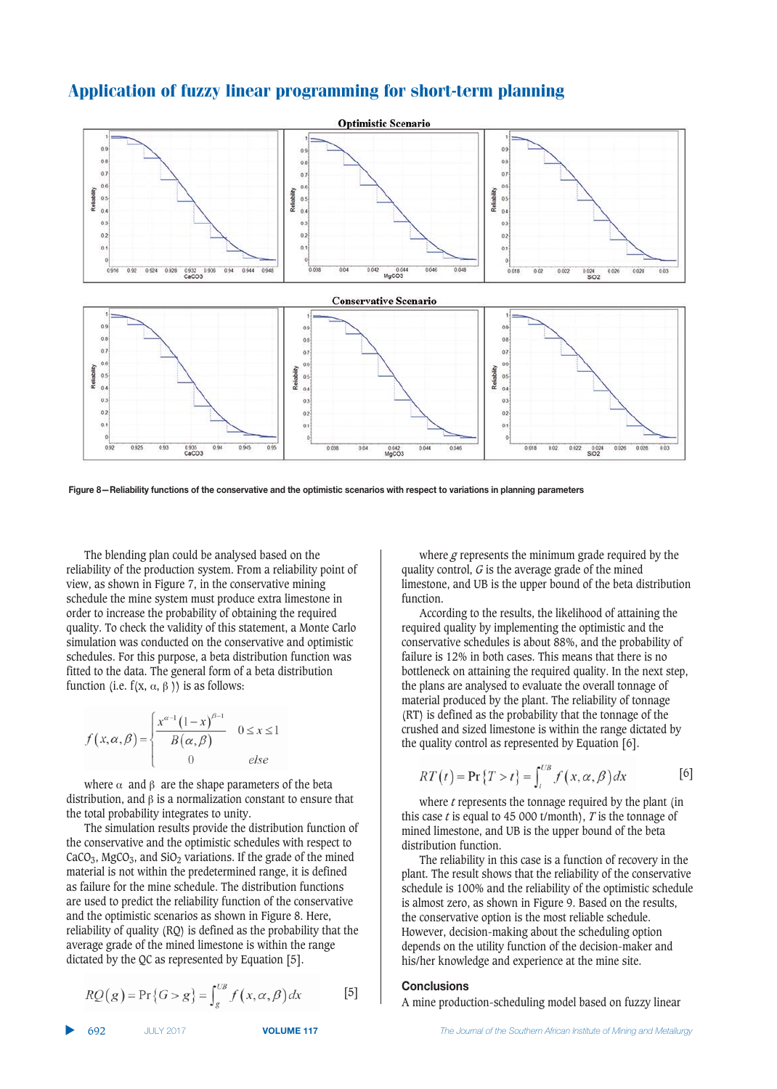

Figure 8-Reliability functions of the conservative and the optimistic scenarios with respect to variations in planning parameters

The blending plan could be analysed based on the reliability of the production system. From a reliability point of view, as shown in Figure 7, in the conservative mining schedule the mine system must produce extra limestone in order to increase the probability of obtaining the required quality. To check the validity of this statement, a Monte Carlo simulation was conducted on the conservative and optimistic schedules. For this purpose, a beta distribution function was fitted to the data. The general form of a beta distribution function (i.e.  $f(x, \alpha, \beta)$ ) is as follows:

$$
f(x, \alpha, \beta) = \begin{cases} \frac{x^{\alpha-1} (1-x)^{\beta-1}}{B(\alpha, \beta)} & 0 \le x \le 1 \\ 0 & else \end{cases}
$$

where  $\alpha$  and  $\beta$  are the shape parameters of the beta distribution, and  $\beta$  is a normalization constant to ensure that the total probability integrates to unity.

The simulation results provide the distribution function of the conservative and the optimistic schedules with respect to CaCO<sub>3</sub>, MgCO<sub>3</sub>, and SiO<sub>2</sub> variations. If the grade of the mined material is not within the predetermined range, it is defined as failure for the mine schedule. The distribution functions are used to predict the reliability function of the conservative and the optimistic scenarios as shown in Figure 8. Here, reliability of quality (RQ) is defined as the probability that the average grade of the mined limestone is within the range dictated by the QC as represented by Equation [5].

$$
RQ(g) = \Pr\{G > g\} = \int_{g}^{UB} f(x, \alpha, \beta) dx
$$
 [5]

692 JULY 2017

▲

where *g* represents the minimum grade required by the quality control, *G* is the average grade of the mined limestone, and UB is the upper bound of the beta distribution function.

According to the results, the likelihood of attaining the required quality by implementing the optimistic and the conservative schedules is about 88%, and the probability of failure is 12% in both cases. This means that there is no bottleneck on attaining the required quality. In the next step, the plans are analysed to evaluate the overall tonnage of material produced by the plant. The reliability of tonnage (RT) is defined as the probability that the tonnage of the crushed and sized limestone is within the range dictated by the quality control as represented by Equation [6].

$$
RT(t) = \Pr\{T > t\} = \int_{t}^{UB} f(x, \alpha, \beta) dx
$$
 [6]

where *t* represents the tonnage required by the plant (in this case  $t$  is equal to 45 000 t/month),  $T$  is the tonnage of mined limestone, and UB is the upper bound of the beta distribution function.

The reliability in this case is a function of recovery in the plant. The result shows that the reliability of the conservative schedule is 100% and the reliability of the optimistic schedule is almost zero, as shown in Figure 9. Based on the results, the conservative option is the most reliable schedule. However, decision-making about the scheduling option depends on the utility function of the decision-maker and his/her knowledge and experience at the mine site.

#### **Conclusions**

A mine production-scheduling model based on fuzzy linear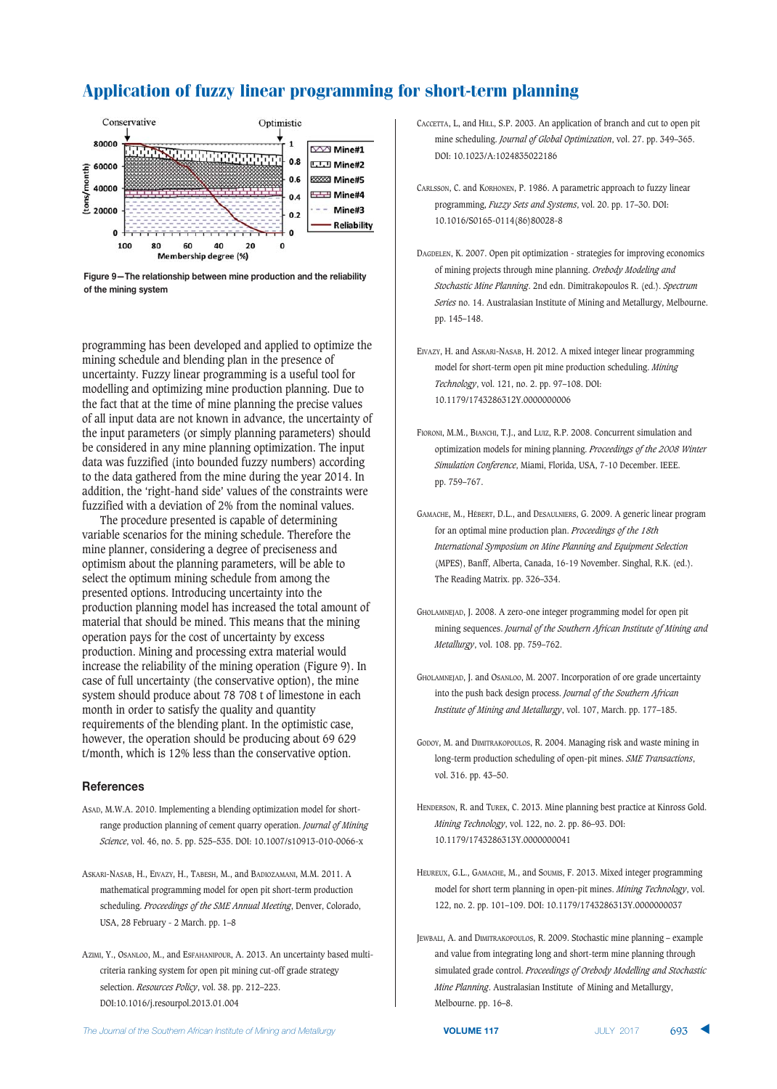

Figure 9-The relationship between mine production and the reliability  $of$  the mining system

programming has been developed and applied to optimize the mining schedule and blending plan in the presence of uncertainty. Fuzzy linear programming is a useful tool for modelling and optimizing mine production planning. Due to the fact that at the time of mine planning the precise values of all input data are not known in advance, the uncertainty of the input parameters (or simply planning parameters) should be considered in any mine planning optimization. The input data was fuzzified (into bounded fuzzy numbers) according to the data gathered from the mine during the year 2014. In addition, the 'right-hand side' values of the constraints were fuzzified with a deviation of 2% from the nominal values.

The procedure presented is capable of determining variable scenarios for the mining schedule. Therefore the mine planner, considering a degree of preciseness and optimism about the planning parameters, will be able to select the optimum mining schedule from among the presented options. Introducing uncertainty into the production planning model has increased the total amount of material that should be mined. This means that the mining operation pays for the cost of uncertainty by excess production. Mining and processing extra material would increase the reliability of the mining operation (Figure 9). In case of full uncertainty (the conservative option), the mine system should produce about 78 708 t of limestone in each month in order to satisfy the quality and quantity requirements of the blending plant. In the optimistic case, however, the operation should be producing about 69 629 t/month, which is 12% less than the conservative option.

#### $References$

- ASAD, M.W.A. 2010. Implementing a blending optimization model for shortrange production planning of cement quarry operation. *Journal of Mining Science*, vol. 46, no. 5. pp. 525–535. DOI: 10.1007/s10913-010-0066-x
- ASKARI-NASAB, H., EIVAZY, H., TABESH, M., and BADIOZAMANI, M.M. 2011. A mathematical programming model for open pit short-term production scheduling. *Proceedings of the SME Annual Meeting*, Denver, Colorado, USA, 28 February - 2 March. pp. 1–8
- AZIMI, Y., OSANLOO, M., and ESFAHANIPOUR, A. 2013. An uncertainty based multicriteria ranking system for open pit mining cut-off grade strategy selection. *Resources Policy*, vol. 38. pp. 212–223. DOI:10.1016/j.resourpol.2013.01.004
- CACCETTA, L, and HILL, S.P. 2003. An application of branch and cut to open pit mine scheduling. *Journal of Global Optimization*, vol. 27. pp. 349–365. DOI: 10.1023/A:1024835022186
- CARLSSON, C. and KORHONEN, P. 1986. A parametric approach to fuzzy linear programming, *Fuzzy Sets and Systems*, vol. 20. pp. 17–30. DOI: 10.1016/S0165-0114(86)80028-8
- DAGDELEN, K. 2007. Open pit optimization strategies for improving economics of mining projects through mine planning. *Orebody Modeling and Stochastic Mine Planning*. 2nd edn. Dimitrakopoulos R. (ed.). *Spectrum Series* no. 14. Australasian Institute of Mining and Metallurgy, Melbourne. pp. 145–148.
- EIVAZY, H. and ASKARI-NASAB, H. 2012. A mixed integer linear programming model for short-term open pit mine production scheduling. *Mining Technology*, vol. 121, no. 2. pp. 97–108. DOI: 10.1179/1743286312Y.0000000006
- FIORONI, M.M., BIANCHI, T.J., and LUIZ, R.P. 2008. Concurrent simulation and optimization models for mining planning. *Proceedings of the 2008 Winter Simulation Conference*, Miami, Florida, USA, 7-10 December. IEEE. pp. 759–767.
- GAMACHE, M., HÉBERT, D.L., and DESAULNIERS, G. 2009. A generic linear program for an optimal mine production plan. *Proceedings of the 18th International Symposium on Mine Planning and Equipment Selection* (MPES), Banff, Alberta, Canada, 16-19 November. Singhal, R.K. (ed.). The Reading Matrix. pp. 326–334.
- GHOLAMNEJAD, J. 2008. A zero-one integer programming model for open pit mining sequences. *Journal of the Southern African Institute of Mining and Metallurgy*, vol. 108. pp. 759–762.
- GHOLAMNEJAD, J. and OSANLOO, M. 2007. Incorporation of ore grade uncertainty into the push back design process. *Journal of the Southern African Institute of Mining and Metallurgy*, vol. 107, March. pp. 177–185.
- GODOY, M. and DIMITRAKOPOULOS, R. 2004. Managing risk and waste mining in long-term production scheduling of open-pit mines. *SME Transactions*, vol. 316. pp. 43–50.
- HENDERSON, R. and TUREK, C. 2013. Mine planning best practice at Kinross Gold. *Mining Technology*, vol. 122, no. 2. pp. 86–93. DOI: 10.1179/1743286313Y.0000000041
- HEUREUX, G.L., GAMACHE, M., and Soumis, F. 2013. Mixed integer programming model for short term planning in open-pit mines. *Mining Technology*, vol. 122, no. 2. pp. 101–109. DOI: 10.1179/1743286313Y.0000000037
- JEWBALI, A. and DIMITRAKOPOULOS, R. 2009. Stochastic mine planning example and value from integrating long and short-term mine planning through simulated grade control. *Proceedings of Orebody Modelling and Stochastic Mine Planning*. Australasian Institute of Mining and Metallurgy, Melbourne. pp. 16–8.

The Journal of the Southern African Institute of Mining and M

 **VOLUME 117**  -